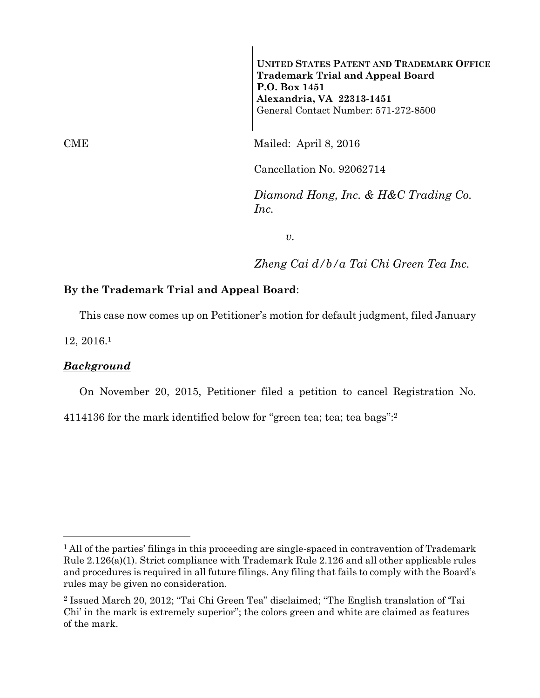**UNITED STATES PATENT AND TRADEMARK OFFICE Trademark Trial and Appeal Board P.O. Box 1451 Alexandria, VA 22313-1451**  General Contact Number: 571-272-8500

CME Mailed: April 8, 2016

Cancellation No. 92062714

*Diamond Hong, Inc. & H&C Trading Co. Inc.* 

*v.* 

*Zheng Cai d/b/a Tai Chi Green Tea Inc.* 

## **By the Trademark Trial and Appeal Board**:

This case now comes up on Petitioner's motion for default judgment, filed January

12, 2016.1

e<br>S

## *Background*

On November 20, 2015, Petitioner filed a petition to cancel Registration No.

4114136 for the mark identified below for "green tea; tea; tea bags":2

<sup>&</sup>lt;sup>1</sup> All of the parties' filings in this proceeding are single-spaced in contravention of Trademark Rule 2.126(a)(1). Strict compliance with Trademark Rule 2.126 and all other applicable rules and procedures is required in all future filings. Any filing that fails to comply with the Board's rules may be given no consideration.

<sup>2</sup> Issued March 20, 2012; "Tai Chi Green Tea" disclaimed; "The English translation of 'Tai Chi' in the mark is extremely superior"; the colors green and white are claimed as features of the mark.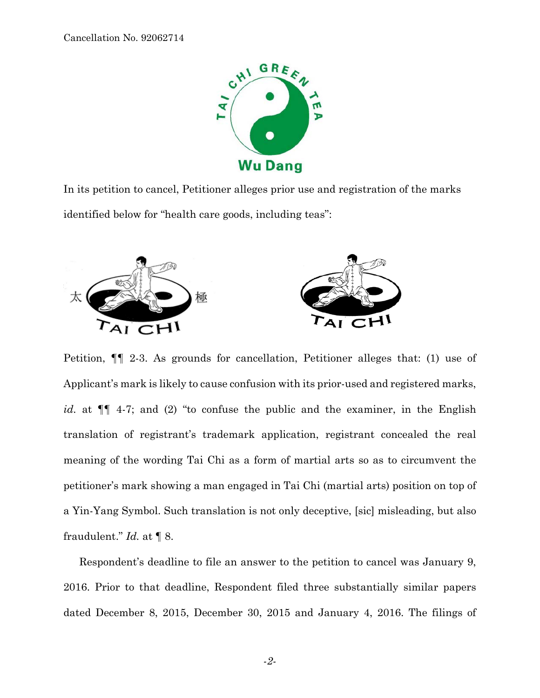

In its petition to cancel, Petitioner alleges prior use and registration of the marks identified below for "health care goods, including teas":



Petition, ¶¶ 2-3. As grounds for cancellation, Petitioner alleges that: (1) use of Applicant's mark is likely to cause confusion with its prior-used and registered marks, *id.* at ¶¶ 4-7; and (2) "to confuse the public and the examiner, in the English translation of registrant's trademark application, registrant concealed the real meaning of the wording Tai Chi as a form of martial arts so as to circumvent the petitioner's mark showing a man engaged in Tai Chi (martial arts) position on top of a Yin-Yang Symbol. Such translation is not only deceptive, [sic] misleading, but also fraudulent." *Id.* at ¶ 8.

Respondent's deadline to file an answer to the petition to cancel was January 9, 2016. Prior to that deadline, Respondent filed three substantially similar papers dated December 8, 2015, December 30, 2015 and January 4, 2016. The filings of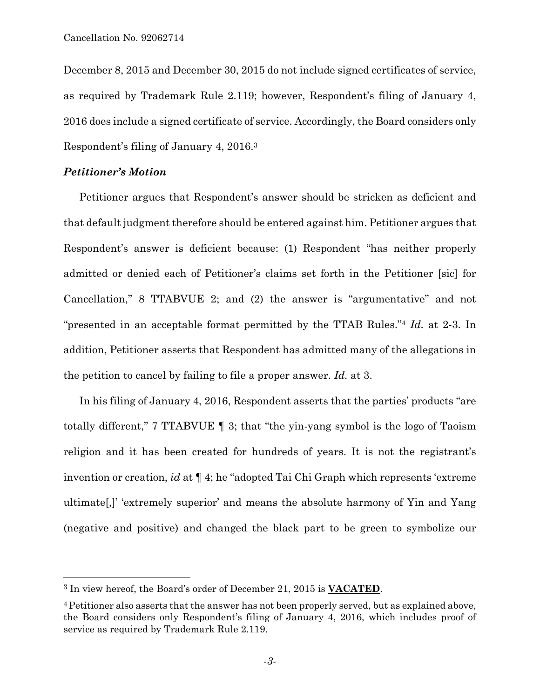December 8, 2015 and December 30, 2015 do not include signed certificates of service, as required by Trademark Rule 2.119; however, Respondent's filing of January 4, 2016 does include a signed certificate of service. Accordingly, the Board considers only Respondent's filing of January 4, 2016.3

## *Petitioner's Motion*

È,

Petitioner argues that Respondent's answer should be stricken as deficient and that default judgment therefore should be entered against him. Petitioner argues that Respondent's answer is deficient because: (1) Respondent "has neither properly admitted or denied each of Petitioner's claims set forth in the Petitioner [sic] for Cancellation," 8 TTABVUE 2; and (2) the answer is "argumentative" and not "presented in an acceptable format permitted by the TTAB Rules."4 *Id.* at 2-3. In addition, Petitioner asserts that Respondent has admitted many of the allegations in the petition to cancel by failing to file a proper answer. *Id.* at 3.

In his filing of January 4, 2016, Respondent asserts that the parties' products "are totally different," 7 TTABVUE ¶ 3; that "the yin-yang symbol is the logo of Taoism religion and it has been created for hundreds of years. It is not the registrant's invention or creation, *id* at ¶ 4; he "adopted Tai Chi Graph which represents 'extreme ultimate[,]' 'extremely superior' and means the absolute harmony of Yin and Yang (negative and positive) and changed the black part to be green to symbolize our

<sup>3</sup> In view hereof, the Board's order of December 21, 2015 is **VACATED**.

<sup>4</sup>Petitioner also asserts that the answer has not been properly served, but as explained above, the Board considers only Respondent's filing of January 4, 2016, which includes proof of service as required by Trademark Rule 2.119.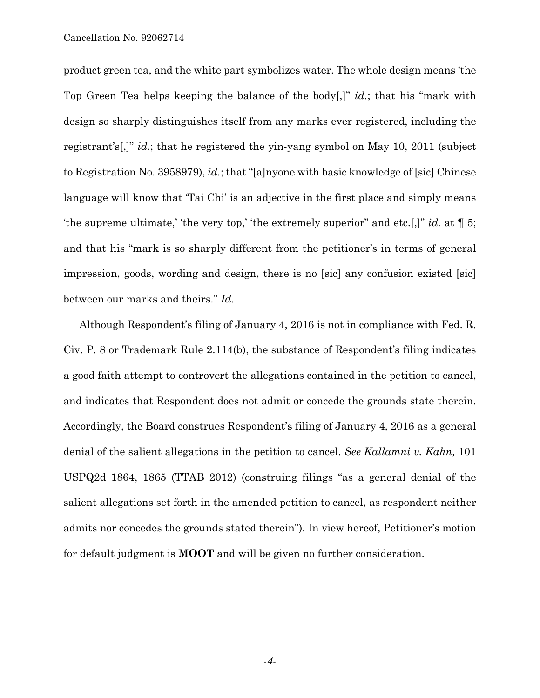product green tea, and the white part symbolizes water. The whole design means 'the Top Green Tea helps keeping the balance of the body[,]" *id.*; that his "mark with design so sharply distinguishes itself from any marks ever registered, including the registrant's[,]" *id.*; that he registered the yin-yang symbol on May 10, 2011 (subject to Registration No. 3958979), *id.*; that "[a]nyone with basic knowledge of [sic] Chinese language will know that 'Tai Chi' is an adjective in the first place and simply means 'the supreme ultimate,' 'the very top,' 'the extremely superior" and etc.[,]" *id.* at ¶ 5; and that his "mark is so sharply different from the petitioner's in terms of general impression, goods, wording and design, there is no [sic] any confusion existed [sic] between our marks and theirs." *Id.* 

Although Respondent's filing of January 4, 2016 is not in compliance with Fed. R. Civ. P. 8 or Trademark Rule 2.114(b), the substance of Respondent's filing indicates a good faith attempt to controvert the allegations contained in the petition to cancel, and indicates that Respondent does not admit or concede the grounds state therein. Accordingly, the Board construes Respondent's filing of January 4, 2016 as a general denial of the salient allegations in the petition to cancel. *See Kallamni v. Kahn,* 101 USPQ2d 1864, 1865 (TTAB 2012) (construing filings "as a general denial of the salient allegations set forth in the amended petition to cancel, as respondent neither admits nor concedes the grounds stated therein"). In view hereof, Petitioner's motion for default judgment is **MOOT** and will be given no further consideration.